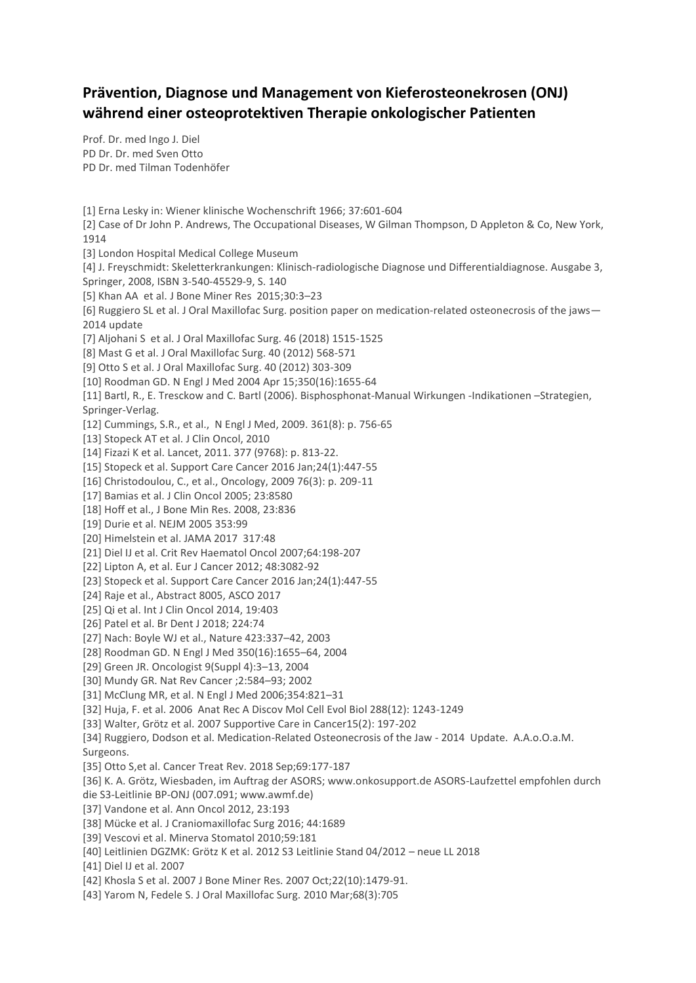## **Prävention, Diagnose und Management von Kieferosteonekrosen (ONJ) während einer osteoprotektiven Therapie onkologischer Patienten**

Prof. Dr. med Ingo J. Diel PD Dr. Dr. med Sven Otto PD Dr. med Tilman Todenhöfer

[1] Erna Lesky in: Wiener klinische Wochenschrift 1966; 37:601-604 [2] Case of Dr John P. Andrews, The Occupational Diseases, W Gilman Thompson, D Appleton & Co, New York, 1914 [3] London Hospital Medical College Museum [4] J. Freyschmidt: Skeletterkrankungen: Klinisch-radiologische Diagnose und Differentialdiagnose. Ausgabe 3, Springer, 2008, ISBN 3-540-45529-9, S. 140 [5] Khan AA et al. J Bone Miner Res 2015;30:3–23 [6] Ruggiero SL et al. J Oral Maxillofac Surg. position paper on medication-related osteonecrosis of the jaws— 2014 update [7] Aljohani S et al. J Oral Maxillofac Surg. 46 (2018) 1515-1525 [8] Mast G et al. J Oral Maxillofac Surg. 40 (2012) 568-571 [9] Otto S et al. J Oral Maxillofac Surg. 40 (2012) 303-309 [10] Roodman GD. N Engl J Med 2004 Apr 15;350(16):1655-64 [11] Bartl, R., E. Tresckow and C. Bartl (2006). Bisphosphonat-Manual Wirkungen -Indikationen –Strategien, Springer-Verlag. [12] Cummings, S.R., et al., N Engl J Med, 2009. 361(8): p. 756-65 [13] Stopeck AT et al. J Clin Oncol, 2010 [14] Fizazi K et al. Lancet, 2011. 377 (9768): p. 813-22. [15] Stopeck et al. Support Care Cancer 2016 Jan;24(1):447-55 [16] Christodoulou, C., et al., Oncology, 2009 76(3): p. 209-11 [17] Bamias et al. J Clin Oncol 2005; 23:8580 [18] Hoff et al., J Bone Min Res. 2008, 23:836 [19] Durie et al. NEJM 2005 353:99 [20] Himelstein et al. JAMA 2017 317:48 [21] Diel IJ et al. Crit Rev Haematol Oncol 2007;64:198-207 [22] Lipton A, et al. Eur J Cancer 2012; 48:3082-92 [23] Stopeck et al. Support Care Cancer 2016 Jan;24(1):447-55 [24] Raje et al., Abstract 8005, ASCO 2017 [25] Qi et al. Int J Clin Oncol 2014, 19:403 [26] Patel et al. Br Dent J 2018; 224:74 [27] Nach: Boyle WJ et al., Nature 423:337–42, 2003 [28] Roodman GD. N Engl J Med 350(16):1655–64, 2004 [29] Green JR. Oncologist 9(Suppl 4):3–13, 2004 [30] Mundy GR. Nat Rev Cancer ;2:584–93; 2002 [31] McClung MR, et al. N Engl J Med 2006;354:821–31 [32] Huja, F. et al. 2006 Anat Rec A Discov Mol Cell Evol Biol 288(12): 1243-1249 [33] Walter, Grötz et al. 2007 Supportive Care in Cancer15(2): 197-202 [34] Ruggiero, Dodson et al. Medication-Related Osteonecrosis of the Jaw - 2014 Update. A.A.o.O.a.M. Surgeons. [35] Otto S,et al. Cancer Treat Rev. 2018 Sep;69:177-187 [36] K. A. Grötz, Wiesbaden, im Auftrag der ASORS; www.onkosupport.de ASORS-Laufzettel empfohlen durch die S3-Leitlinie BP-ONJ (007.091; www.awmf.de) [37] Vandone et al. Ann Oncol 2012, 23:193 [38] Mücke et al. J Craniomaxillofac Surg 2016; 44:1689 [39] Vescovi et al. Minerva Stomatol 2010;59:181 [40] Leitlinien DGZMK: Grötz K et al. 2012 S3 Leitlinie Stand 04/2012 – neue LL 2018 [41] Diel IJ et al. 2007 [42] Khosla S et al. 2007 J Bone Miner Res. 2007 Oct;22(10):1479-91. [43] Yarom N, Fedele S. J Oral Maxillofac Surg. 2010 Mar;68(3):705